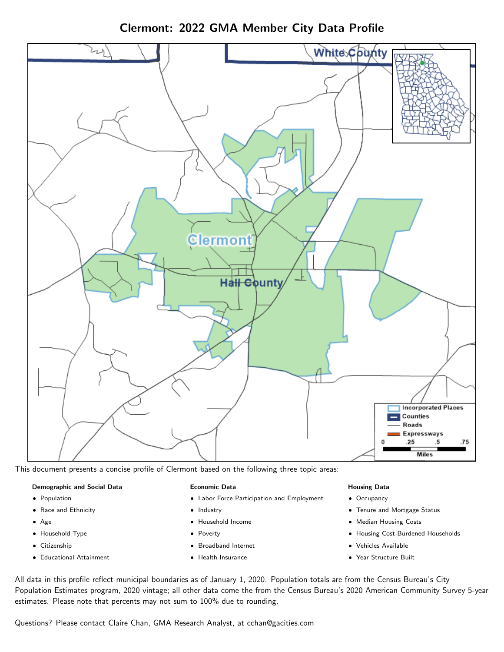Clermont: 2022 GMA Member City Data Profile



This document presents a concise profile of Clermont based on the following three topic areas:

#### Demographic and Social Data

- **•** Population
- Race and Ethnicity
- Age
- Household Type
- **Citizenship**
- Educational Attainment

#### Economic Data

- Labor Force Participation and Employment
- Industry
- Household Income
- Poverty
- Broadband Internet
- Health Insurance

#### Housing Data

- Occupancy
- Tenure and Mortgage Status
- Median Housing Costs
- Housing Cost-Burdened Households
- Vehicles Available
- $\bullet$ Year Structure Built

All data in this profile reflect municipal boundaries as of January 1, 2020. Population totals are from the Census Bureau's City Population Estimates program, 2020 vintage; all other data come the from the Census Bureau's 2020 American Community Survey 5-year estimates. Please note that percents may not sum to 100% due to rounding.

Questions? Please contact Claire Chan, GMA Research Analyst, at [cchan@gacities.com.](mailto:cchan@gacities.com)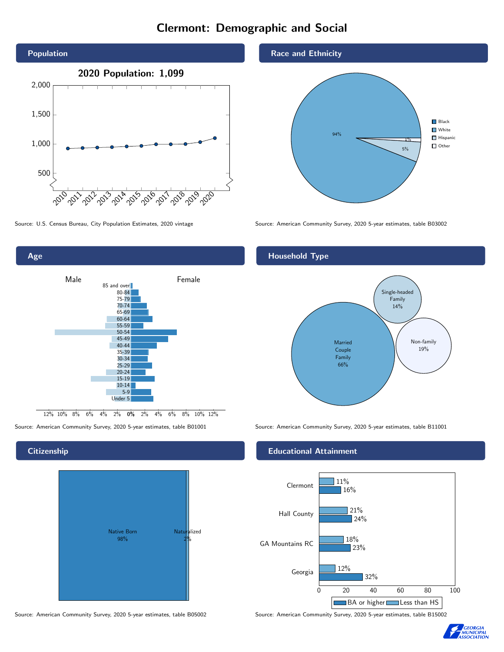# Clermont: Demographic and Social





Source: American Community Survey, 2020 5-year estimates, table B01001 Source: American Community Survey, 2020 5-year estimates, table B11001

# **Citizenship**



Source: American Community Survey, 2020 5-year estimates, table B05002 Source: American Community Survey, 2020 5-year estimates, table B15002

#### Race and Ethnicity



Source: U.S. Census Bureau, City Population Estimates, 2020 vintage Source: American Community Survey, 2020 5-year estimates, table B03002

## Household Type



#### Educational Attainment



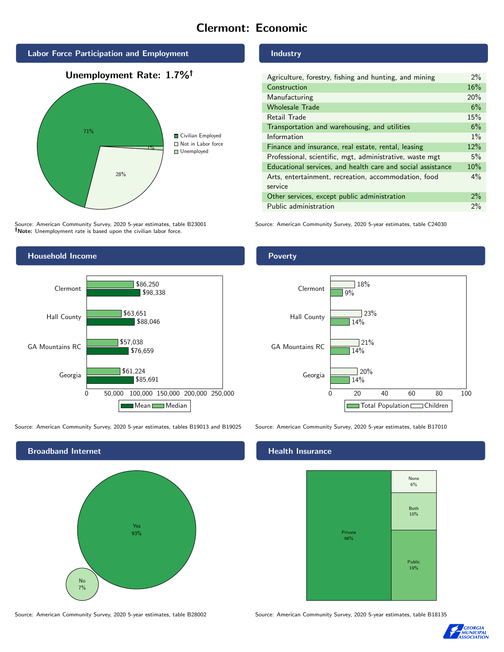# Clermont: Economic



Source: American Community Survey, 2020 5-year estimates, table B23001 Note: Unemployment rate is based upon the civilian labor force.

# Industry

| Agriculture, forestry, fishing and hunting, and mining      | $2\%$ |
|-------------------------------------------------------------|-------|
| Construction                                                | 16%   |
| Manufacturing                                               | 20%   |
| <b>Wholesale Trade</b>                                      | 6%    |
| Retail Trade                                                | 15%   |
| Transportation and warehousing, and utilities               | 6%    |
| Information                                                 | $1\%$ |
| Finance and insurance, real estate, rental, leasing         | 12%   |
| Professional, scientific, mgt, administrative, waste mgt    | 5%    |
| Educational services, and health care and social assistance | 10%   |
| Arts, entertainment, recreation, accommodation, food        | $4\%$ |
| service                                                     |       |
| Other services, except public administration                | $2\%$ |
| Public administration                                       | $2\%$ |

Source: American Community Survey, 2020 5-year estimates, table C24030



Source: American Community Survey, 2020 5-year estimates, tables B19013 and B19025 Source: American Community Survey, 2020 5-year estimates, table B17010



### Poverty



## **Health Insurance**



Source: American Community Survey, 2020 5-year estimates, table B28002 Source: American Community Survey, 2020 5-year estimates, table B18135